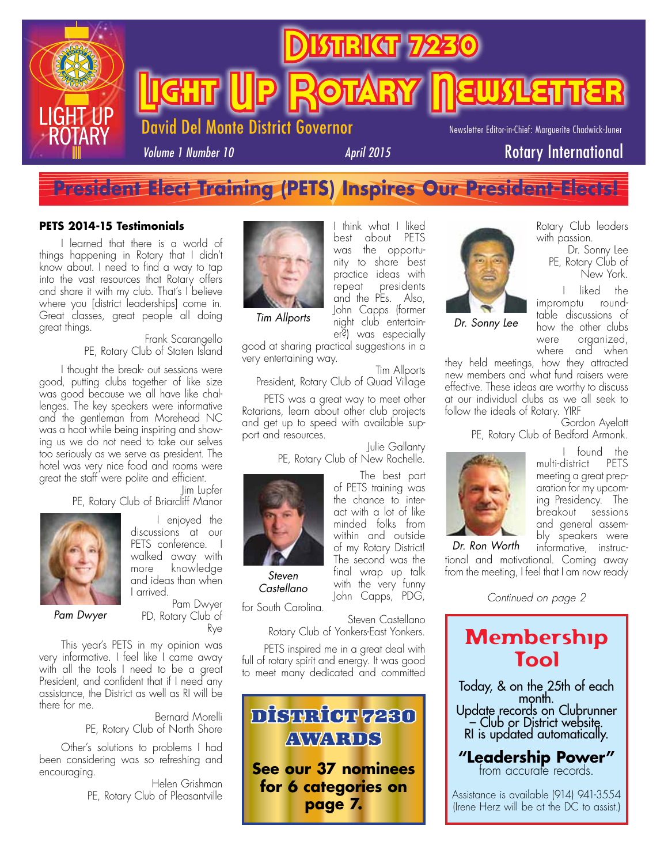

# **President Elect Training (PETS) Inspires Our President-Elects!**

#### **PETS 2014-15 Testimonials**

I learned that there is a world of things happening in Rotary that I didn't know about. I need to find a way to tap into the vast resources that Rotary offers and share it with my club. That's I believe where you [district leaderships] come in. Great classes, great people all doing great things.

Frank Scarangello PE, Rotary Club of Staten Island

I thought the break- out sessions were good, putting clubs together of like size was good because we all have like challenges. The key speakers were informative and the gentleman from Morehead NC was a hoot while being inspiring and showing us we do not need to take our selves too seriously as we serve as president. The hotel was very nice food and rooms were great the staff were polite and efficient.

Jim Lupfer PE, Rotary Club of Briarcliff Manor



I enjoyed the discussions at our PETS conference. walked away with more knowledge and ideas than when I arrived.

*Pam Dwyer*

Pam Dwyer PD, Rotary Club of Rye

This year's PETS in my opinion was very informative. I feel like I came away with all the tools I need to be a great President, and confident that if I need any assistance, the District as well as RI will be there for me.

Bernard Morelli PE, Rotary Club of North Shore

Other's solutions to problems I had been considering was so refreshing and encouraging.

Helen Grishman PE, Rotary Club of Pleasantville



best about PETS was the opportunity to share best practice ideas with repeat presidents and the PEs. Also, John Capps (former night club entertainer?) was especially

I think what I liked

*Tim Allports*

good at sharing practical suggestions in a very entertaining way.

Tim Allports President, Rotary Club of Quad Village

PETS was a great way to meet other Rotarians, learn about other club projects and get up to speed with available support and resources.

> Julie Gallanty PE, Rotary Club of New Rochelle.

> > The best part

with the very funny John Capps, PDG,



*Steven Castellano*

for South Carolina. Steven Castellano

Rotary Club of Yonkers-East Yonkers.

PETS inspired me in a great deal with full of rotary spirit and energy. It was good to meet many dedicated and committed





*Dr. Sonny Lee*

Rotary Club leaders with passion.

> Dr. Sonny Lee PE, Rotary Club of New York.

liked the impromptu roundtable discussions of how the other clubs were organized, where and when

they held meetings, how they attracted new members and what fund raisers were effective. These ideas are worthy to discuss at our individual clubs as we all seek to follow the ideals of Rotary. YIRF Gordon Ayelott

PE, Rotary Club of Bedford Armonk.



found the multi-district PETS meeting a great preparation for my upcoming Presidency. The breakout sessions and general assembly speakers were informative, instruc-

tional and motivational. Coming away from the meeting, I feel that I am now ready

*Continued on page 2*

# Membership Tool

Today, & on the 25th of each month. Update records on Clubrunner – Club or District website. RI is updated automatically.

**"Leadership Power"** from accurate records.

Assistance is available (914) 941-3554 (Irene Herz will be at the DC to assist.)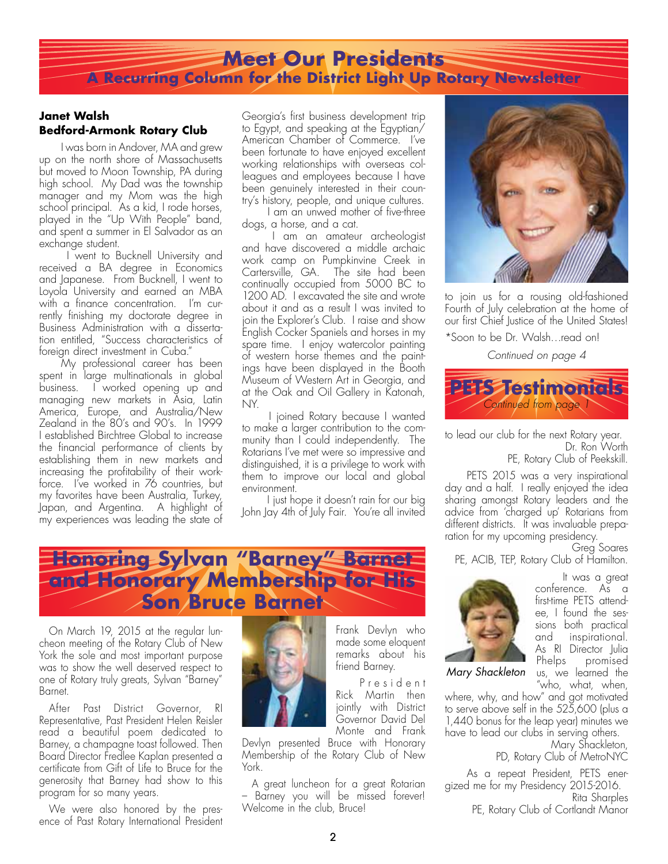### **Meet Our Presidents A Recurring Column for the District Light Up Rotary Newsletter**

#### **Janet Walsh Bedford-Armonk Rotary Club**

I was born in Andover, MA and grew up on the north shore of Massachusetts but moved to Moon Township, PA during high school. My Dad was the township manager and my Mom was the high school principal. As a kid, I rode horses, played in the "Up With People" band, and spent a summer in El Salvador as an exchange student.

 I went to Bucknell University and received a BA degree in Economics and Japanese. From Bucknell, I went to Loyola University and earned an MBA with a finance concentration. I'm currently finishing my doctorate degree in Business Administration with a dissertation entitled, "Success characteristics of foreign direct investment in Cuba."

My professional career has been spent in large multinationals in global business. I worked opening up and managing new markets in Asia, Latin America, Europe, and Australia/New Zealand in the 80's and 90's. In 1999 I established Birchtree Global to increase the financial performance of clients by establishing them in new markets and increasing the profitability of their workforce. I've worked in 76 countries, but my favorites have been Australia, Turkey, Japan, and Argentina. A highlight of my experiences was leading the state of

Georgia's first business development trip to Egypt, and speaking at the Egyptian/ American Chamber of Commerce. I've been fortunate to have enjoyed excellent working relationships with overseas colleagues and employees because I have been genuinely interested in their country's history, people, and unique cultures.

 I am an unwed mother of five-three dogs, a horse, and a cat.

 I am an amateur archeologist and have discovered a middle archaic work camp on Pumpkinvine Creek in Cartersville, GA. The site had been continually occupied from 5000 BC to 1200 AD. I excavated the site and wrote about it and as a result I was invited to join the Explorer's Club. I raise and show English Cocker Spaniels and horses in my spare time. I enjoy watercolor painting of western horse themes and the paintings have been displayed in the Booth Museum of Western Art in Georgia, and at the Oak and Oil Gallery in Katonah, NY.

 I joined Rotary because I wanted to make a larger contribution to the community than I could independently. The Rotarians I've met were so impressive and distinguished, it is a privilege to work with them to improve our local and global environment.

 I just hope it doesn't rain for our big John Jay 4th of July Fair. You're all invited

# **Honoring Sylvan "Barney" Barnet and Honorary Membership for His Son Bruce Barnet**

On March 19, 2015 at the regular luncheon meeting of the Rotary Club of New York the sole and most important purpose was to show the well deserved respect to one of Rotary truly greats, Sylvan "Barney" Barnet.

After Past District Governor, RI Representative, Past President Helen Reisler read a beautiful poem dedicated to Barney, a champagne toast followed. Then Board Director Fredlee Kaplan presented a certificate from Gift of Life to Bruce for the generosity that Barney had show to this program for so many years.

We were also honored by the presence of Past Rotary International President



Monte and Frank Devlyn presented Bruce with Honorary Membership of the Rotary Club of New York.

Frank Devlyn who made some eloquent remarks about his friend Barney.

P r e s i d e n t Rick Martin then jointly with District Governor David Del

A great luncheon for a great Rotarian – Barney you will be missed forever! Welcome in the club, Bruce!



to join us for a rousing old-fashioned Fourth of July celebration at the home of our first Chief Justice of the United States!

\*Soon to be Dr. Walsh…read on!

*Continued on page 4*



to lead our club for the next Rotary year. Dr. Ron Worth

PE, Rotary Club of Peekskill.

PETS 2015 was a very inspirational day and a half. I really enjoyed the idea sharing amongst Rotary leaders and the advice from 'charged up' Rotarians from different districts. It was invaluable preparation for my upcoming presidency.

Greg Soares

It was a great conference. As a first-time PETS attendee, I found the sessions both practical and inspirational. As RI Director Julia

PE, ACIB, TEP, Rotary Club of Hamilton.



Phelps promised us, we learned the *Mary Shackleton*

"who, what, when, where, why, and how" and got motivated to serve above self in the 525,600 (plus a 1,440 bonus for the leap year) minutes we have to lead our clubs in serving others.

Mary Shackleton, PD, Rotary Club of MetroNYC

As a repeat President, PETS energized me for my Presidency 2015-2016.

Rita Sharples PE, Rotary Club of Cortlandt Manor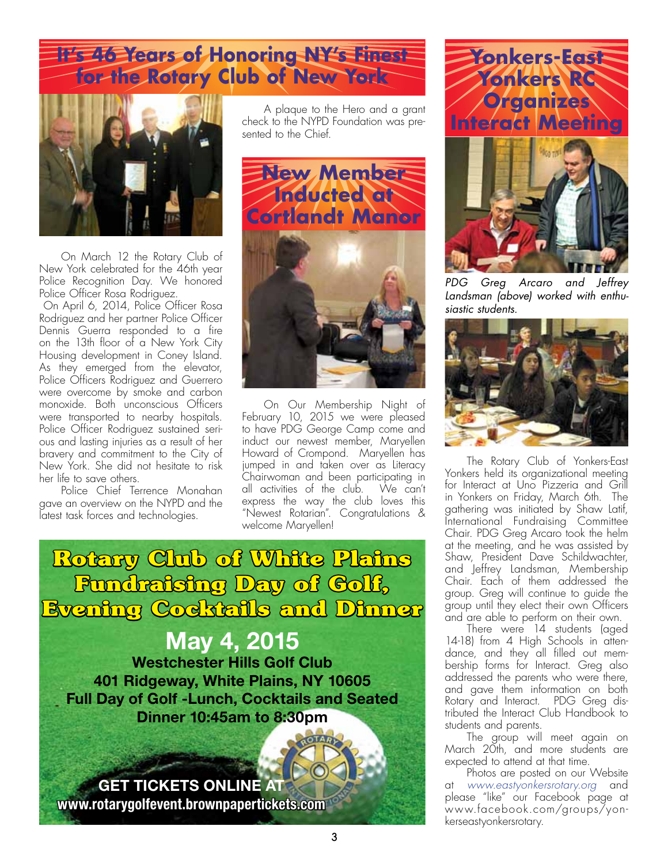# **It's 46 Years of Honoring NY's Finest for the Rotary Club of New York**



On March 12 the Rotary Club of New York celebrated for the 46th year Police Recognition Day. We honored Police Officer Rosa Rodriguez.

 On April 6, 2014, Police Officer Rosa Rodriguez and her partner Police Officer Dennis Guerra responded to a fire on the 13th floor of a New York City Housing development in Coney Island. As they emerged from the elevator, Police Officers Rodriguez and Guerrero were overcome by smoke and carbon monoxide. Both unconscious Officers were transported to nearby hospitals. Police Officer Rodriguez sustained serious and lasting injuries as a result of her bravery and commitment to the City of New York. She did not hesitate to risk her life to save others.

Police Chief Terrence Monahan gave an overview on the NYPD and the latest task forces and technologies.

A plaque to the Hero and a grant check to the NYPD Foundation was presented to the Chief.



On Our Membership Night of February 10, 2015 we were pleased to have PDG George Camp come and induct our newest member, Maryellen Howard of Crompond. Maryellen has jumped in and taken over as Literacy Chairwoman and been participating in all activities of the club. We can't express the way the club loves this "Newest Rotarian". Congratulations & welcome Maryellen!

**Rotary Club of White Plains Fundraising Day of Golf, Evening Cocktails and Dinner May 4, 2015 Westchester Hills Golf Club 401 Ridgeway, White Plains, NY 10605 Full Day of Golf -Lunch, Cocktails and Seated Dinner 10:45am to 8:30pm**

**GET TICKETS ONLINE AT www.rotarygolfevent.brownpapertickets.com**





*PDG Greg Arcaro and Jeffrey Landsman (above) worked with enthusiastic students.*



The Rotary Club of Yonkers-East Yonkers held its organizational meeting for Interact at Uno Pizzeria and Grill in Yonkers on Friday, March 6th. The gathering was initiated by Shaw Latif, International Fundraising Committee Chair. PDG Greg Arcaro took the helm at the meeting, and he was assisted by Shaw, President Dave Schildwachter, and Jeffrey Landsman, Membership Chair. Each of them addressed the group. Greg will continue to guide the group until they elect their own Officers and are able to perform on their own.

There were 14 students (aged 14-18) from 4 High Schools in attendance, and they all filled out membership forms for Interact. Greg also addressed the parents who were there, and gave them information on both Rotary and Interact. PDG Greg distributed the Interact Club Handbook to students and parents.

The group will meet again on March 20th, and more students are expected to attend at that time.

Photos are posted on our Website at *www.eastyonkersrotary.org* and please "like" our Facebook page at www.facebook.com/groups/yonkerseastyonkersrotary.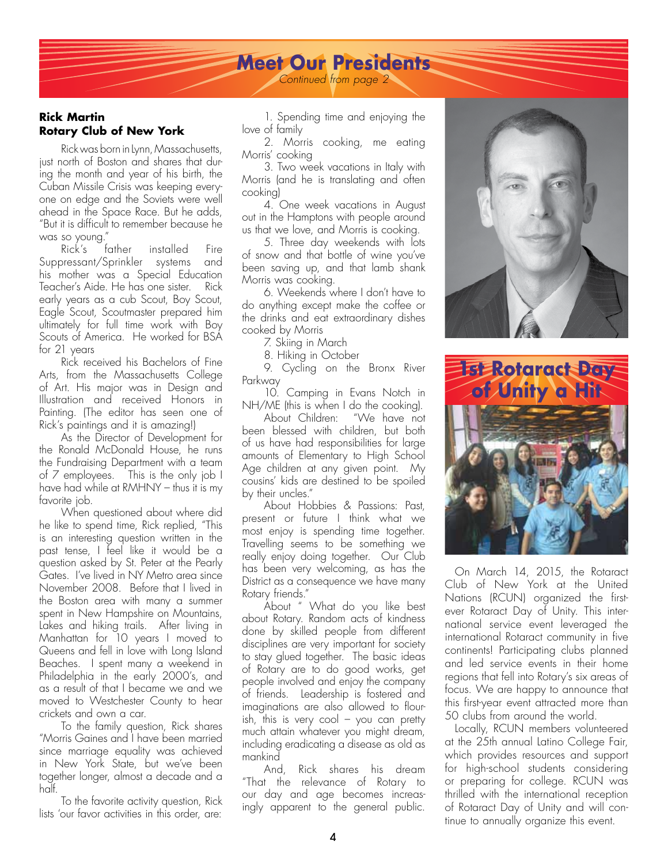#### **Meet Our Presidents** *Continued from page 2*

#### **Rick Martin Rotary Club of New York**

Rick was born in Lynn, Massachusetts, just north of Boston and shares that during the month and year of his birth, the Cuban Missile Crisis was keeping everyone on edge and the Soviets were well ahead in the Space Race. But he adds, "But it is difficult to remember because he

was so young." installed Fire Suppressant/Sprinkler systems and his mother was a Special Education Teacher's Aide. He has one sister. Rick early years as a cub Scout, Boy Scout, Eagle Scout, Scoutmaster prepared him ultimately for full time work with Boy Scouts of America. He worked for BSA for 21 years

Rick received his Bachelors of Fine Arts, from the Massachusetts College of Art. His major was in Design and Illustration and received Honors in Painting. (The editor has seen one of Rick's paintings and it is amazing!)

As the Director of Development for the Ronald McDonald House, he runs the Fundraising Department with a team of 7 employees. This is the only job I have had while at RMHNY – thus it is my favorite *job*.

When questioned about where did he like to spend time, Rick replied, "This is an interesting question written in the past tense, I feel like it would be a question asked by St. Peter at the Pearly Gates. I've lived in NY Metro area since November 2008. Before that I lived in the Boston area with many a summer spent in New Hampshire on Mountains, Lakes and hiking trails. After living in Manhattan for 10 years I moved to Queens and fell in love with Long Island Beaches. I spent many a weekend in Philadelphia in the early 2000's, and as a result of that I became we and we moved to Westchester County to hear crickets and own a car.

To the family question, Rick shares "Morris Gaines and I have been married since marriage equality was achieved in New York State, but we've been together longer, almost a decade and a half.

To the favorite activity question, Rick lists 'our favor activities in this order, are:

1. Spending time and enjoying the love of family

2. Morris cooking, me eating Morris' cooking

3. Two week vacations in Italy with Morris (and he is translating and often cooking)

4. One week vacations in August out in the Hamptons with people around us that we love, and Morris is cooking.

5. Three day weekends with lots of snow and that bottle of wine you've been saving up, and that lamb shank Morris was cooking.

6. Weekends where I don't have to do anything except make the coffee or the drinks and eat extraordinary dishes cooked by Morris

7. Skiing in March

8. Hiking in October

9. Cycling on the Bronx River Parkway

10. Camping in Evans Notch in NH/ME (this is when I do the cooking).

About Children: "We have not been blessed with children, but both of us have had responsibilities for large amounts of Elementary to High School Age children at any given point. My cousins' kids are destined to be spoiled by their uncles."

About Hobbies & Passions: Past, present or future I think what we most enjoy is spending time together. Travelling seems to be something we really enjoy doing together. Our Club has been very welcoming, as has the District as a consequence we have many Rotary friends."

About " What do you like best about Rotary. Random acts of kindness done by skilled people from different disciplines are very important for society to stay glued together. The basic ideas of Rotary are to do good works, get people involved and enjoy the company of friends. Leadership is fostered and imaginations are also allowed to flourish, this is very cool – you can pretty much attain whatever you might dream, including eradicating a disease as old as mankind

And, Rick shares his dream "That the relevance of Rotary to our day and age becomes increasingly apparent to the general public.





On March 14, 2015, the Rotaract Club of New York at the United Nations (RCUN) organized the firstever Rotaract Day of Unity. This international service event leveraged the international Rotaract community in five continents! Participating clubs planned and led service events in their home regions that fell into Rotary's six areas of focus. We are happy to announce that this first-year event attracted more than 50 clubs from around the world.

Locally, RCUN members volunteered at the 25th annual Latino College Fair, which provides resources and support for high-school students considering or preparing for college. RCUN was thrilled with the international reception of Rotaract Day of Unity and will continue to annually organize this event.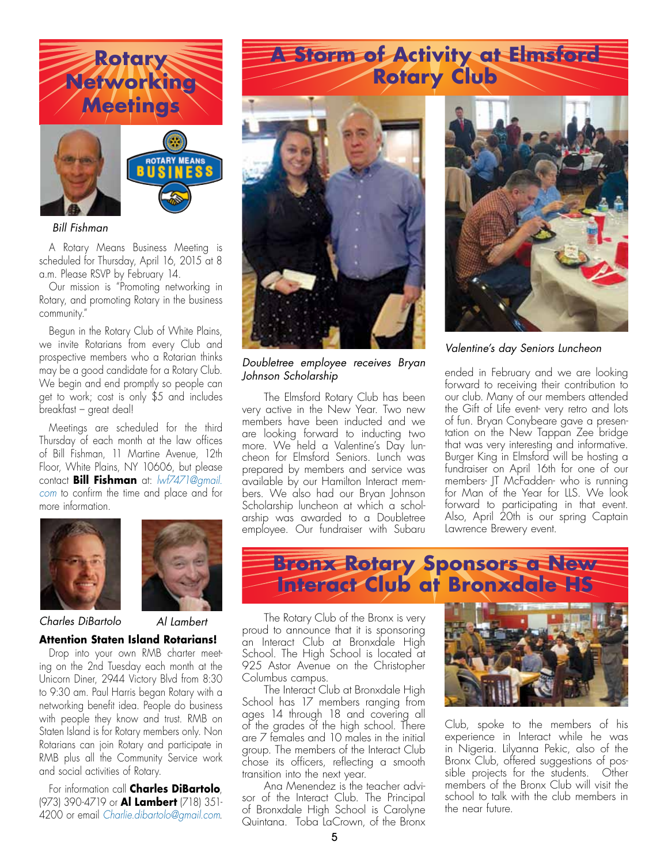

#### *Bill Fishman*

A Rotary Means Business Meeting is scheduled for Thursday, April 16, 2015 at 8 a.m. Please RSVP by February 14.

Our mission is "Promoting networking in Rotary, and promoting Rotary in the business community."

Begun in the Rotary Club of White Plains, we invite Rotarians from every Club and prospective members who a Rotarian thinks may be a good candidate for a Rotary Club. We begin and end promptly so people can get to work; cost is only \$5 and includes breakfast – great deal!

Meetings are scheduled for the third Thursday of each month at the law offices of Bill Fishman, 11 Martine Avenue, 12th Floor, White Plains, NY 10606, but please contact **Bill Fishman** at: *lwf7471@gmail. com* to confirm the time and place and for more information.





#### *Charles DiBartolo Al Lambert*

#### **Attention Staten Island Rotarians!**

Drop into your own RMB charter meeting on the 2nd Tuesday each month at the Unicorn Diner, 2944 Victory Blvd from 8:30 to 9:30 am. Paul Harris began Rotary with a networking benefit idea. People do business with people they know and trust. RMB on Staten Island is for Rotary members only. Non Rotarians can join Rotary and participate in RMB plus all the Community Service work and social activities of Rotary.

For information call **Charles DiBartolo**, (973) 390-4719 or **Al Lambert** (718) 351- 4200 or email *Charlie.dibartolo@gmail.com*.

# **A Storm of Activity at Elmsford Rotary Club**



*Doubletree employee receives Bryan Johnson Scholarship*

The Elmsford Rotary Club has been very active in the New Year. Two new members have been inducted and we are looking forward to inducting two more. We held a Valentine's Day luncheon for Elmsford Seniors. Lunch was prepared by members and service was available by our Hamilton Interact members. We also had our Bryan Johnson Scholarship luncheon at which a scholarship was awarded to a Doubletree employee. Our fundraiser with Subaru



*Valentine's day Seniors Luncheon*

ended in February and we are looking forward to receiving their contribution to our club. Many of our members attended the Gift of Life event- very retro and lots of fun. Bryan Conybeare gave a presentation on the New Tappan Zee bridge that was very interesting and informative. Burger King in Elmsford will be hosting a fundraiser on April 16th for one of our members- JT McFadden- who is running for Man of the Year for LLS. We look forward to participating in that event. Also, April 20th is our spring Captain Lawrence Brewery event.



The Rotary Club of the Bronx is very proud to announce that it is sponsoring an Interact Club at Bronxdale High School. The High School is located at 925 Astor Avenue on the Christopher Columbus campus.

The Interact Club at Bronxdale High School has 17 members ranging from ages 14 through 18 and covering all of the grades of the high school. There are 7 females and 10 males in the initial group. The members of the Interact Club chose its officers, reflecting a smooth transition into the next year.

Ana Menendez is the teacher advisor of the Interact Club. The Principal of Bronxdale High School is Carolyne Quintana. Toba LaCrown, of the Bronx



Club, spoke to the members of his experience in Interact while he was in Nigeria. Lilyanna Pekic, also of the Bronx Club, offered suggestions of possible projects for the students. Other members of the Bronx Club will visit the school to talk with the club members in the near future.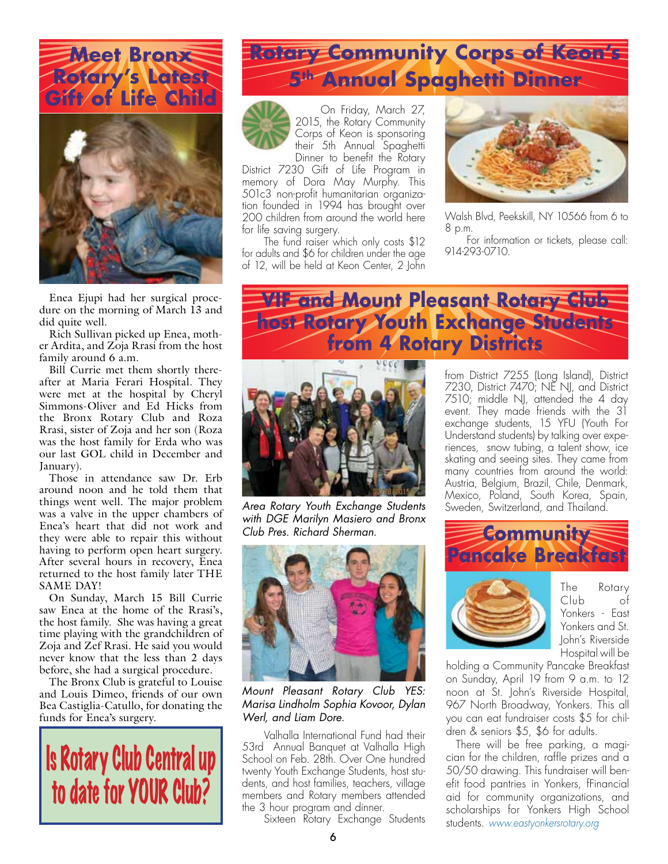



Enea Ejupi had her surgical procedure on the morning of March 13 and did quite well.

Rich Sullivan picked up Enea, mother Ardita, and Zoja Rrasi from the host family around 6 a.m.

Bill Currie met them shortly thereafter at Maria Ferari Hospital. They were met at the hospital by Cheryl Simmons-Oliver and Ed Hicks from the Bronx Rotary Club and Roza Rrasi, sister of Zoja and her son (Roza was the host family for Erda who was our last GOL child in December and January).

Those in attendance saw Dr. Erb around noon and he told them that things went well. The major problem was a valve in the upper chambers of Enea's heart that did not work and they were able to repair this without having to perform open heart surgery. After several hours in recovery, Enea returned to the host family later THE SAME DAY!

On Sunday, March 15 Bill Currie saw Enea at the home of the Rrasi's, the host family. She was having a great time playing with the grandchildren of Zoja and Zef Rrasi. He said you would never know that the less than 2 days before, she had a surgical procedure.

The Bronx Club is grateful to Louise and Louis Dimeo, friends of our own Bea Castiglia-Catullo, for donating the funds for Enea's surgery.



# **Rotary Community Corps of Keon's 5th Annual Spaghetti Dinner**



On Friday, March 27, 2015, the Rotary Community Corps of Keon is sponsoring their 5th Annual Spaghetti Dinner to benefit the Rotary

District 7230 Gift of Life Program in memory of Dora May Murphy. This 501c3 non-profit humanitarian organization founded in 1994 has brought over 200 children from around the world here for life saving surgery.

The fund raiser which only costs \$12 for adults and \$6 for children under the age of 12, will be held at Keon Center, 2 John



Walsh Blvd, Peekskill, NY 10566 from 6 to 8 p.m.

For information or tickets, please call: 914-293-0710.

### **VIF and Mount Pleasant Rotary Club host Rotary Youth Exchange Students from 4 Rotary Districts**



*with DGE Marilyn Masiero and Bronx Club Pres. Richard Sherman.*



*Mount Pleasant Rotary Club YES: Marisa Lindholm Sophia Kovoor, Dylan Werl, and Liam Dore.*

Valhalla International Fund had their 53rd Annual Banquet at Valhalla High School on Feb. 28th. Over One hundred twenty Youth Exchange Students, host students, and host families, teachers, village members and Rotary members attended the 3 hour program and dinner.

Sixteen Rotary Exchange Students

from District 7255 (Long Island), District 7230, District 7470; NE NJ, and District  $7510$ ; middle NJ, attended the 4 day event. They made friends with the 31 exchange students, 15 YFU (Youth For Understand students) by talking over experiences, snow tubing, a talent show, ice skating and seeing sites. They came from many countries from around the world: Austria, Belgium, Brazil, Chile, Denmark, Mexico, Poland, South Korea, Spain, *Area Rotary Youth Exchange Students* Sweden, Switzerland, and Thailand.





The Rotary Club of Yonkers - East Yonkers and St. John's Riverside Hospital will be

holding a Community Pancake Breakfast on Sunday, April 19 from 9 a.m. to 12 noon at St. John's Riverside Hospital, 967 North Broadway, Yonkers. This all you can eat fundraiser costs \$5 for children & seniors \$5, \$6 for adults.

There will be free parking, a magician for the children, raffle prizes and a 50/50 drawing. This fundraiser will benefit food pantries in Yonkers, fFinancial aid for community organizations, and scholarships for Yonkers High School students. *www.eastyonkersrotary.org*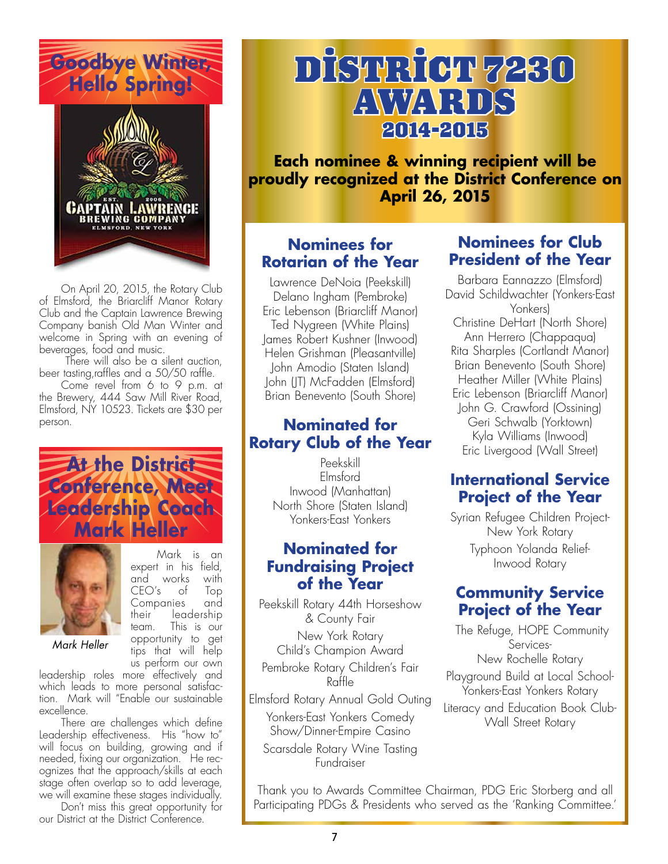

![](_page_6_Picture_1.jpeg)

On April 20, 2015, the Rotary Club of Elmsford, the Briarcliff Manor Rotary Club and the Captain Lawrence Brewing Company banish Old Man Winter and welcome in Spring with an evening of beverages, food and music.

 There will also be a silent auction, beer tasting,raffles and a 50/50 raffle.

Come revel from 6 to 9 p.m. at the Brewery, 444 Saw Mill River Road, Elmsford, NY 10523. Tickets are \$30 per person.

![](_page_6_Picture_5.jpeg)

![](_page_6_Picture_6.jpeg)

*Mark Heller*

Mark is an expert in his field, and works with CEO's of Top Companies and their leadership team. This is our opportunity to get tips that will help us perform our own

leadership roles more effectively and which leads to more personal satisfaction. Mark will "Enable our sustainable excellence.

There are challenges which define Leadership effectiveness. His "how to" will focus on building, growing and if needed, fixing our organization. He recognizes that the approach/skills at each stage often overlap so to add leverage, we will examine these stages individually.

Don't miss this great opportunity for our District at the District Conference.

![](_page_6_Picture_11.jpeg)

**Each nominee & winning recipient will be proudly recognized at the District Conference on April 26, 2015**

### **Nominees for Rotarian of the Year**

Lawrence DeNoia (Peekskill) Delano Ingham (Pembroke) Eric Lebenson (Briarcliff Manor) Ted Nygreen (White Plains) James Robert Kushner (Inwood) Helen Grishman (Pleasantville) John Amodio (Staten Island) John (JT) McFadden (Elmsford) Brian Benevento (South Shore)

### **Nominated for Rotary Club of the Year**

Peekskill Elmsford Inwood (Manhattan) North Shore (Staten Island) Yonkers-East Yonkers

#### **Nominated for Fundraising Project of the Year**

Peekskill Rotary 44th Horseshow & County Fair New York Rotary Child's Champion Award Pembroke Rotary Children's Fair Raffle Elmsford Rotary Annual Gold Outing Yonkers-East Yonkers Comedy Show/Dinner-Empire Casino Scarsdale Rotary Wine Tasting

Fundraiser

### **Nominees for Club President of the Year**

Barbara Eannazzo (Elmsford) David Schildwachter (Yonkers-East Yonkers) Christine DeHart (North Shore) Ann Herrero (Chappaqua) Rita Sharples (Cortlandt Manor) Brian Benevento (South Shore) Heather Miller (White Plains) Eric Lebenson (Briarcliff Manor) John G. Crawford (Ossining) Geri Schwalb (Yorktown) Kyla Williams (Inwood) Eric Livergood (Wall Street)

### **International Service Project of the Year**

Syrian Refugee Children Project-New York Rotary Typhoon Yolanda Relief-Inwood Rotary

### **Community Service Project of the Year**

The Refuge, HOPE Community Services-New Rochelle Rotary

Playground Build at Local School-Yonkers-East Yonkers Rotary

Literacy and Education Book Club-Wall Street Rotary

Thank you to Awards Committee Chairman, PDG Eric Storberg and all Participating PDGs & Presidents who served as the 'Ranking Committee.'